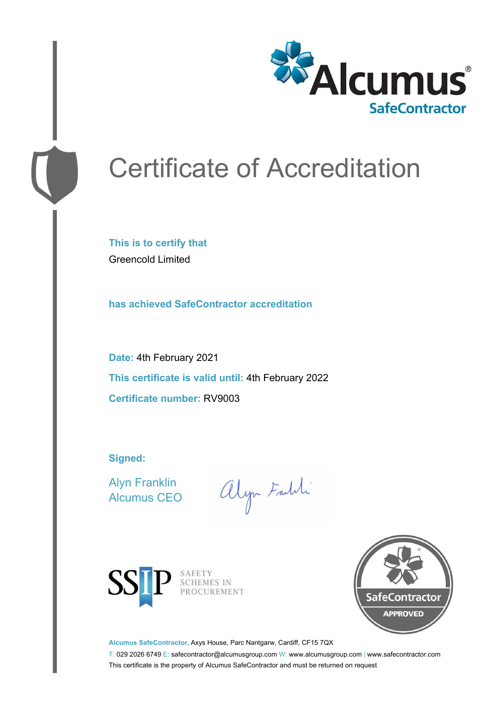

# Certificate of Accreditation

**This is to certify that** Greencold Limited

**has achieved SafeContractor accreditation**

**Date:** 4th February 2021 **This certificate is valid until:** 4th February 2022 **Certificate number:** RV9003

**Signed:**

Alyn Franklin Alcumus CEO

alyn Faith



SAFETY<br>SCHEMES IN PROCUREMENT



**Alcumus SafeContractor,** Axys House, Parc Nantgarw, Cardiff, CF15 7QX

T: 029 2026 6749 E: safecontractor@alcumusgroup.com W: www.alcumusgroup.com | www.safecontractor.com This certificate is the property of Alcumus SafeContractor and must be returned on request